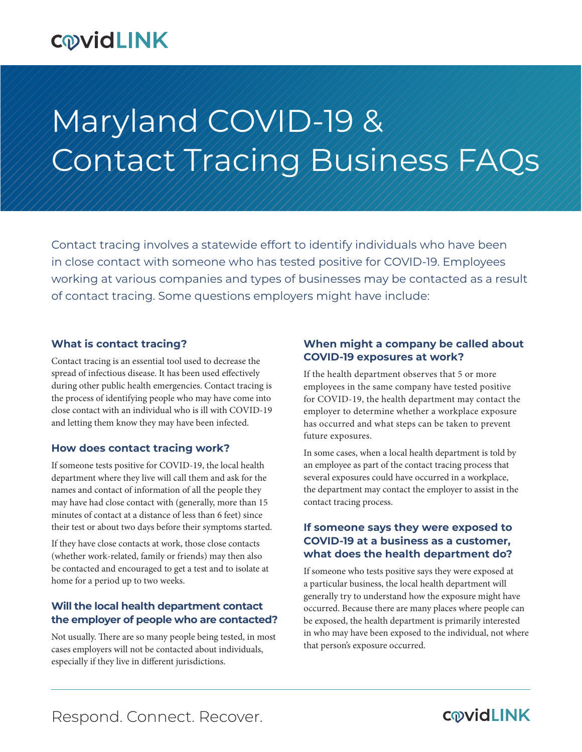# **COVIDLINK**

# Maryland COVID-19 & Contact Tracing Business FAQs

Contact tracing involves a statewide effort to identify individuals who have been in close contact with someone who has tested positive for COVID-19. Employees working at various companies and types of businesses may be contacted as a result of contact tracing. Some questions employers might have include:

#### **What is contact tracing?**

Contact tracing is an essential tool used to decrease the spread of infectious disease. It has been used effectively during other public health emergencies. Contact tracing is the process of identifying people who may have come into close contact with an individual who is ill with COVID-19 and letting them know they may have been infected.

#### **How does contact tracing work?**

If someone tests positive for COVID-19, the local health department where they live will call them and ask for the names and contact of information of all the people they may have had close contact with (generally, more than 15 minutes of contact at a distance of less than 6 feet) since their test or about two days before their symptoms started.

If they have close contacts at work, those close contacts (whether work-related, family or friends) may then also be contacted and encouraged to get a test and to isolate at home for a period up to two weeks.

#### **Will the local health department contact the employer of people who are contacted?**

Not usually. There are so many people being tested, in most cases employers will not be contacted about individuals, especially if they live in different jurisdictions.

#### **When might a company be called about COVID-19 exposures at work?**

If the health department observes that 5 or more employees in the same company have tested positive for COVID-19, the health department may contact the employer to determine whether a workplace exposure has occurred and what steps can be taken to prevent future exposures.

In some cases, when a local health department is told by an employee as part of the contact tracing process that several exposures could have occurred in a workplace, the department may contact the employer to assist in the contact tracing process.

#### **If someone says they were exposed to COVID-19 at a business as a customer, what does the health department do?**

If someone who tests positive says they were exposed at a particular business, the local health department will generally try to understand how the exposure might have occurred. Because there are many places where people can be exposed, the health department is primarily interested in who may have been exposed to the individual, not where that person's exposure occurred.

Respond. Connect. Recover.

### **COVIDLINK**